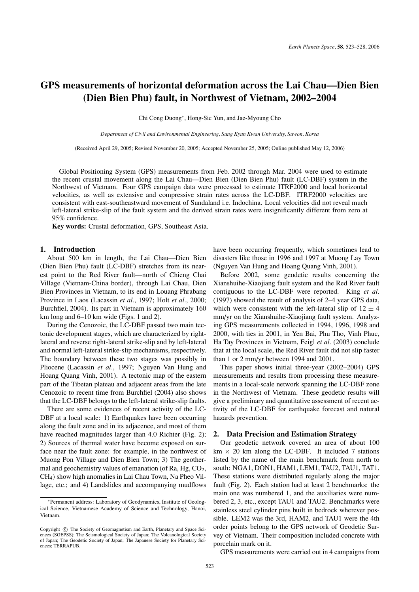# **GPS measurements of horizontal deformation across the Lai Chau—Dien Bien (Dien Bien Phu) fault, in Northwest of Vietnam, 2002–2004**

Chi Cong Duong∗, Hong-Sic Yun, and Jae-Myoung Cho

*Department of Civil and Environmental Engineering, Sung Kyun Kwan University, Suwon, Korea*

(Received April 29, 2005; Revised November 20, 2005; Accepted November 25, 2005; Online published May 12, 2006)

Global Positioning System (GPS) measurements from Feb. 2002 through Mar. 2004 were used to estimate the recent crustal movement along the Lai Chau—Dien Bien (Dien Bien Phu) fault (LC-DBF) system in the Northwest of Vietnam. Four GPS campaign data were processed to estimate ITRF2000 and local horizontal velocities, as well as extensive and compressive strain rates across the LC-DBF. ITRF2000 velocities are consistent with east-southeastward movement of Sundaland i.e. Indochina. Local velocities did not reveal much left-lateral strike-slip of the fault system and the derived strain rates were insignificantly different from zero at 95% confidence.

**Key words:** Crustal deformation, GPS, Southeast Asia.

## **1. Introduction**

About 500 km in length, the Lai Chau—Dien Bien (Dien Bien Phu) fault (LC-DBF) stretches from its nearest point to the Red River fault—north of Chieng Chai Village (Vietnam-China border), through Lai Chau, Dien Bien Provinces in Vietnam, to its end in Louang Phrabang Province in Laos (Lacassin *et al.*, 1997; Holt *et al.*, 2000; Burchfiel, 2004). Its part in Vietnam is approximately 160 km long and 6–10 km wide (Figs. 1 and 2).

During the Cenozoic, the LC-DBF passed two main tectonic development stages, which are characterized by rightlateral and reverse right-lateral strike-slip and by left-lateral and normal left-lateral strike-slip mechanisms, respectively. The boundary between these two stages was possibly in Pliocene (Lacassin *et al.*, 1997; Nguyen Van Hung and Hoang Quang Vinh, 2001). A tectonic map of the eastern part of the Tibetan plateau and adjacent areas from the late Cenozoic to recent time from Burchfiel (2004) also shows that the LC-DBF belongs to the left-lateral strike-slip faults.

There are some evidences of recent activity of the LC-DBF at a local scale: 1) Earthquakes have been occurring along the fault zone and in its adjacence, and most of them have reached magnitudes larger than 4.0 Richter (Fig. 2); 2) Sources of thermal water have become exposed on surface near the fault zone: for example, in the northwest of Muong Pon Village and Dien Bien Town; 3) The geothermal and geochemistry values of emanation (of Ra, Hg,  $CO<sub>2</sub>$ , CH4) show high anomalies in Lai Chau Town, Na Pheo Village, etc.; and 4) Landslides and accompanying mudflows

have been occurring frequently, which sometimes lead to disasters like those in 1996 and 1997 at Muong Lay Town (Nguyen Van Hung and Hoang Quang Vinh, 2001).

Before 2002, some geodetic results concerning the Xianshuihe-Xiaojiang fault system and the Red River fault contiguous to the LC-DBF were reported. King *et al.* (1997) showed the result of analysis of 2–4 year GPS data, which were consistent with the left-lateral slip of  $12 \pm 4$ mm/yr on the Xianshuihe-Xiaojiang fault system. Analyzing GPS measurements collected in 1994, 1996, 1998 and 2000, with ties in 2001, in Yen Bai, Phu Tho, Vinh Phuc, Ha Tay Provinces in Vietnam, Feigl *et al.* (2003) conclude that at the local scale, the Red River fault did not slip faster than 1 or 2 mm/yr between 1994 and 2001.

This paper shows initial three-year (2002–2004) GPS measurements and results from processing these measurements in a local-scale network spanning the LC-DBF zone in the Northwest of Vietnam. These geodetic results will give a preliminary and quantitative assessment of recent activity of the LC-DBF for earthquake forecast and natural hazards prevention.

## **2. Data Precision and Estimation Strategy**

Our geodetic network covered an area of about 100 km  $\times$  20 km along the LC-DBF. It included 7 stations listed by the name of the main benchmark from north to south: NGA1, DON1, HAM1, LEM1, TAU2, TAU1, TAT1. These stations were distributed regularly along the major fault (Fig. 2). Each station had at least 2 benchmarks: the main one was numbered 1, and the auxiliaries were numbered 2, 3, etc., except TAU1 and TAU2. Benchmarks were stainless steel cylinder pins built in bedrock wherever possible. LEM2 was the 3rd, HAM2, and TAU1 were the 4th order points belong to the GPS network of Geodetic Survey of Vietnam. Their composition included concrete with porcelain mark on it.

GPS measurements were carried out in 4 campaigns from

<sup>∗</sup>Permanent address: Laboratory of Geodynamics, Institute of Geological Science, Vietnamese Academy of Science and Technology, Hanoi, Vietnam.

Copyright  $\odot$  The Society of Geomagnetism and Earth, Planetary and Space Sciences (SGEPSS); The Seismological Society of Japan; The Volcanological Society of Japan; The Geodetic Society of Japan; The Japanese Society for Planetary Sciences; TERRAPUB.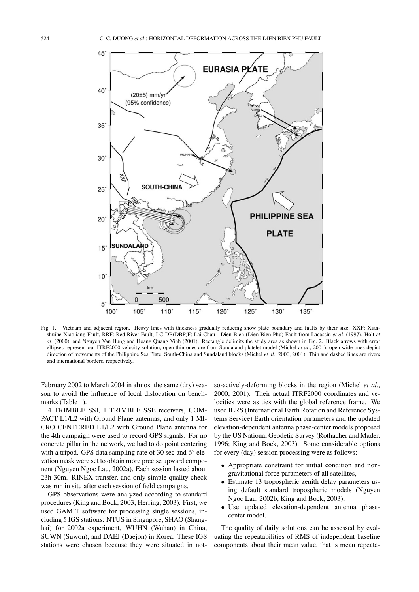

Fig. 1. Vietnam and adjacent region. Heavy lines with thickness gradually reducing show plate boundary and faults by their size; XXF: Xianshuihe-Xiaojiang Fault, RRF: Red River Fault; LC-DB(DBP)F: Lai Chau—Dien Bien (Dien Bien Phu) Fault from Lacassin *et al.* (1997), Holt *et al.* (2000), and Nguyen Van Hung and Hoang Quang Vinh (2001). Rectangle delimits the study area as shown in Fig. 2. Black arrows with error ellipses represent our ITRF2000 velocity solution, open thin ones are from Sundaland platelet model (Michel *et al.*, 2001), open wide ones depict direction of movements of the Philippine Sea Plate, South-China and Sundaland blocks (Michel *et al.*, 2000, 2001). Thin and dashed lines are rivers and international borders, respectively.

February 2002 to March 2004 in almost the same (dry) season to avoid the influence of local dislocation on benchmarks (Table 1).

4 TRIMBLE SSI, 1 TRIMBLE SSE receivers, COM-PACT L1/L2 with Ground Plane antennas, and only 1 MI-CRO CENTERED L1/L2 with Ground Plane antenna for the 4th campaign were used to record GPS signals. For no concrete pillar in the network, we had to do point centering with a tripod. GPS data sampling rate of 30 sec and 6° elevation mask were set to obtain more precise upward component (Nguyen Ngoc Lau, 2002a). Each session lasted about 23h 30m. RINEX transfer, and only simple quality check was run in situ after each session of field campaigns.

GPS observations were analyzed according to standard procedures (King and Bock, 2003; Herring, 2003). First, we used GAMIT software for processing single sessions, including 5 IGS stations: NTUS in Singapore, SHAO (Shanghai) for 2002a experiment, WUHN (Wuhan) in China, SUWN (Suwon), and DAEJ (Daejon) in Korea. These IGS stations were chosen because they were situated in notso-actively-deforming blocks in the region (Michel *et al.*, 2000, 2001). Their actual ITRF2000 coordinates and velocities were as ties with the global reference frame. We used IERS (International Earth Rotation and Reference Systems Service) Earth orientation parameters and the updated elevation-dependent antenna phase-center models proposed by the US National Geodetic Survey (Rothacher and Mader, 1996; King and Bock, 2003). Some considerable options for every (day) session processing were as follows:

- Appropriate constraint for initial condition and nongravitational force parameters of all satellites,
- Estimate 13 tropospheric zenith delay parameters using default standard tropospheric models (Nguyen Ngoc Lau, 2002b; King and Bock, 2003),
- Use updated elevation-dependent antenna phasecenter model.

The quality of daily solutions can be assessed by evaluating the repeatabilities of RMS of independent baseline components about their mean value, that is mean repeata-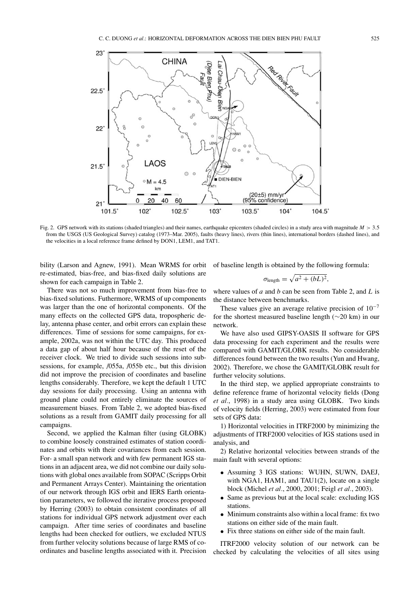

Fig. 2. GPS network with its stations (shaded triangles) and their names, earthquake epicenters (shaded circles) in a study area with magnitude *M* > 3.5 from the USGS (US Geological Survey) catalog (1973–Mar. 2005), faults (heavy lines), rivers (thin lines), international borders (dashed lines), and the velocities in a local reference frame defined by DON1, LEM1, and TAT1.

bility (Larson and Agnew, 1991). Mean WRMS for orbit re-estimated, bias-free, and bias-fixed daily solutions are shown for each campaign in Table 2.

of baseline length is obtained by the following formula:

$$
\sigma_{\text{length}} = \sqrt{a^2 + (bL)^2},
$$

There was not so much improvement from bias-free to bias-fixed solutions. Futhermore, WRMS of up components was larger than the one of horizontal components. Of the many effects on the collected GPS data, tropospheric delay, antenna phase center, and orbit errors can explain these differences. Time of sessions for some campaigns, for example, 2002a, was not within the UTC day. This produced a data gap of about half hour because of the reset of the receiver clock. We tried to divide such sessions into subsessions, for example, /055a, /055b etc., but this division did not improve the precision of coordinates and baseline lengths considerably. Therefore, we kept the default 1 UTC day sessions for daily processing. Using an antenna with ground plane could not entirely eliminate the sources of measurement biases. From Table 2, we adopted bias-fixed solutions as a result from GAMIT daily processing for all campaigns.

Second, we applied the Kalman filter (using GLOBK) to combine loosely constrained estimates of station coordinates and orbits with their covariances from each session. For- a small span network and with few permanent IGS stations in an adjacent area, we did not combine our daily solutions with global ones available from SOPAC (Scripps Orbit and Permanent Arrays Center). Maintaining the orientation of our network through IGS orbit and IERS Earth orientation parameters, we followed the iterative process proposed by Herring (2003) to obtain consistent coordinates of all stations for individual GPS network adjustment over each campaign. After time series of coordinates and baseline lengths had been checked for outliers, we excluded NTUS from further velocity solutions because of large RMS of coordinates and baseline lengths associated with it. Precision where values of *a* and *b* can be seen from Table 2, and *L* is the distance between benchmarks.

These values give an average relative precision of  $10^{-7}$ for the shortest measured baseline length (∼20 km) in our network.

We have also used GIPSY-OASIS II software for GPS data processing for each experiment and the results were compared with GAMIT/GLOBK results. No considerable differences found between the two results (Yun and Hwang, 2002). Therefore, we chose the GAMIT/GLOBK result for further velocity solutions.

In the third step, we applied appropriate constraints to define reference frame of horizontal velocity fields (Dong *et al.*, 1998) in a study area using GLOBK. Two kinds of velocity fields (Herring, 2003) were estimated from four sets of GPS data:

1) Horizontal velocities in ITRF2000 by minimizing the adjustments of ITRF2000 velocities of IGS stations used in analysis, and

2) Relative horizontal velocities between strands of the main fault with several options:

- Assuming 3 IGS stations: WUHN, SUWN, DAEJ, with NGA1, HAM1, and TAU1(2), locate on a single block (Michel *et al.*, 2000, 2001; Feigl *et al.*, 2003).
- Same as previous but at the local scale: excluding IGS stations.
- Minimum constraints also within a local frame: fix two stations on either side of the main fault.
- Fix three stations on either side of the main fault.

ITRF2000 velocity solution of our network can be checked by calculating the velocities of all sites using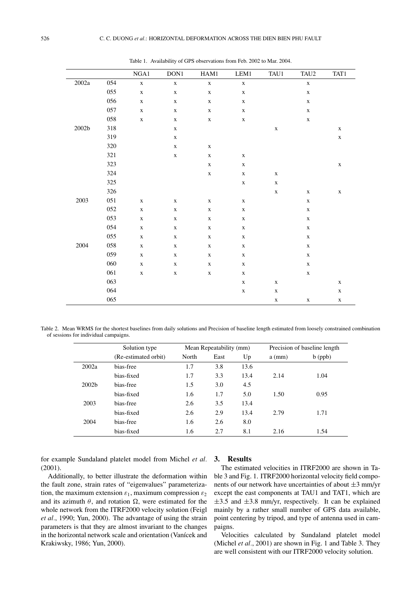|                  |     | NGA1        | DON1        | HAM1        | LEM1        | TAU1        | TAU <sub>2</sub> | TAT1        |
|------------------|-----|-------------|-------------|-------------|-------------|-------------|------------------|-------------|
| $2002\mathrm{a}$ | 054 | $\mathbf X$ | $\mathbf X$ | $\mathbf X$ | $\mathbf X$ |             | $\mathbf X$      |             |
|                  | 055 | $\mathbf X$ | $\mathbf X$ | $\mathbf X$ | $\mathbf X$ |             | $\mathbf X$      |             |
|                  | 056 | $\mathbf X$ | $\mathbf X$ | $\mathbf X$ | $\mathbf X$ |             | $\mathbf X$      |             |
|                  | 057 | $\mathbf X$ | $\mathbf X$ | $\mathbf X$ | $\mathbf X$ |             | $\mathbf X$      |             |
|                  | 058 | $\mathbf X$ | $\mathbf X$ | $\mathbf X$ | $\mathbf X$ |             | $\mathbf X$      |             |
| $2002\mathrm{b}$ | 318 |             | $\mathbf X$ |             |             | $\mathbf X$ |                  | $\mathbf X$ |
|                  | 319 |             | $\mathbf X$ |             |             |             |                  | $\mathbf X$ |
|                  | 320 |             | $\mathbf X$ | $\mathbf X$ |             |             |                  |             |
|                  | 321 |             | $\mathbf X$ | $\mathbf X$ | $\mathbf X$ |             |                  |             |
|                  | 323 |             |             | $\mathbf X$ | $\mathbf X$ |             |                  | $\mathbf X$ |
|                  | 324 |             |             | $\mathbf X$ | $\mathbf X$ | $\mathbf X$ |                  |             |
|                  | 325 |             |             |             | $\mathbf X$ | $\mathbf X$ |                  |             |
|                  | 326 |             |             |             |             | $\mathbf X$ | $\mathbf X$      | $\mathbf X$ |
| 2003             | 051 | $\mathbf X$ | $\mathbf X$ | $\mathbf X$ | $\mathbf X$ |             | $\mathbf X$      |             |
|                  | 052 | $\mathbf X$ | $\mathbf X$ | $\mathbf X$ | $\mathbf X$ |             | $\mathbf X$      |             |
|                  | 053 | $\mathbf X$ | $\mathbf X$ | $\mathbf X$ | $\mathbf X$ |             | $\mathbf X$      |             |
|                  | 054 | $\mathbf X$ | $\mathbf X$ | $\mathbf X$ | $\mathbf X$ |             | $\mathbf X$      |             |
|                  | 055 | $\mathbf X$ | $\mathbf X$ | $\mathbf X$ | $\mathbf X$ |             | $\mathbf X$      |             |
| 2004             | 058 | $\mathbf X$ | $\mathbf X$ | $\mathbf X$ | $\mathbf X$ |             | $\mathbf X$      |             |
|                  | 059 | $\mathbf X$ | $\mathbf X$ | $\mathbf X$ | $\mathbf X$ |             | $\mathbf X$      |             |
|                  | 060 | $\mathbf X$ | $\mathbf X$ | $\mathbf X$ | $\mathbf X$ |             | $\mathbf X$      |             |
|                  | 061 | $\mathbf X$ | $\mathbf X$ | $\mathbf X$ | $\mathbf X$ |             | $\mathbf X$      |             |
|                  | 063 |             |             |             | $\mathbf X$ | $\mathbf X$ |                  | $\mathbf X$ |
|                  | 064 |             |             |             | $\mathbf X$ | $\mathbf X$ |                  | $\mathbf X$ |
|                  | 065 |             |             |             |             | $\mathbf X$ | $\mathbf X$      | $\mathbf X$ |

Table 1. Availability of GPS observations from Feb. 2002 to Mar. 2004.

Table 2. Mean WRMS for the shortest baselines from daily solutions and Precision of baseline length estimated from loosely constrained combination of sessions for individual campaigns.

|                   | Solution type        | Mean Repeatability (mm) |      |      | Precision of baseline length |           |
|-------------------|----------------------|-------------------------|------|------|------------------------------|-----------|
|                   | (Re-estimated orbit) | North                   | East | Up   | $a$ (mm)                     | $b$ (ppb) |
| 2002a             | bias-free            | 1.7                     | 3.8  | 13.6 |                              |           |
|                   | bias-fixed           | 1.7                     | 3.3  | 13.4 | 2.14                         | 1.04      |
| 2002 <sub>b</sub> | bias-free            | 1.5                     | 3.0  | 4.5  |                              |           |
|                   | bias-fixed           | 1.6                     | 1.7  | 5.0  | 1.50                         | 0.95      |
| 2003              | bias-free            | 2.6                     | 3.5  | 13.4 |                              |           |
|                   | bias-fixed           | 2.6                     | 2.9  | 13.4 | 2.79                         | 1.71      |
| 2004              | bias-free            | 1.6                     | 2.6  | 8.0  |                              |           |
|                   | bias-fixed           | 1.6                     | 2.7  | 8.1  | 2.16                         | 1.54      |

for example Sundaland platelet model from Michel *et al.* (2001).

Additionally, to better illustrate the deformation within the fault zone, strain rates of "eigenvalues" parameterization, the maximum extension  $\varepsilon_1$ , maximum compression  $\varepsilon_2$ and its azimuth  $\theta$ , and rotation  $\Omega$ , were estimated for the whole network from the ITRF2000 velocity solution (Feigl *et al.*, 1990; Yun, 2000). The advantage of using the strain parameters is that they are almost invariant to the changes in the horizontal network scale and orientation (Vanícek and Krakiwsky, 1986; Yun, 2000).

### **3. Results**

The estimated velocities in ITRF2000 are shown in Table 3 and Fig. 1. ITRF2000 horizontal velocity field components of our network have uncertainties of about  $\pm 3$  mm/yr except the east components at TAU1 and TAT1, which are  $\pm$ 3.5 and  $\pm$ 3.8 mm/yr, respectively. It can be explained mainly by a rather small number of GPS data available, point centering by tripod, and type of antenna used in campaigns.

Velocities calculated by Sundaland platelet model (Michel *et al.*, 2001) are shown in Fig. 1 and Table 3. They are well consistent with our ITRF2000 velocity solution.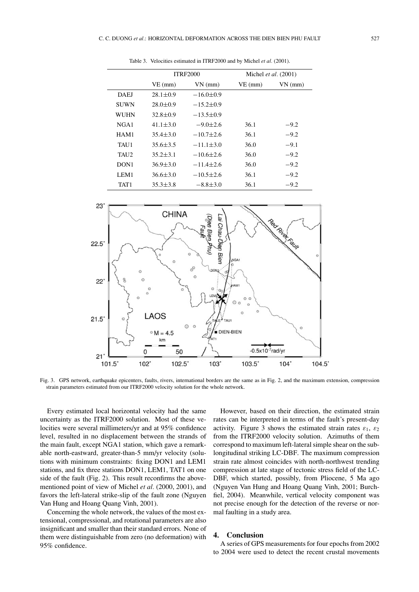|                  |                | <b>ITRF2000</b> | Michel <i>et al.</i> $(2001)$ |           |  |
|------------------|----------------|-----------------|-------------------------------|-----------|--|
|                  | $VE$ (mm)      | $VN$ (mm)       | $VE$ (mm)                     | $VN$ (mm) |  |
| <b>DAEJ</b>      | $28.1 \pm 0.9$ | $-16.0 \pm 0.9$ |                               |           |  |
| <b>SUWN</b>      | $28.0 \pm 0.9$ | $-15.2 \pm 0.9$ |                               |           |  |
| WUHN             | $32.8 \pm 0.9$ | $-13.5 \pm 0.9$ |                               |           |  |
| NGA1             | $41.1 \pm 3.0$ | $-9.0\pm2.6$    | 36.1                          | $-9.2$    |  |
| HAM1             | $35.4 \pm 3.0$ | $-10.7 \pm 2.6$ | 36.1                          | $-9.2$    |  |
| TAU1             | $35.6 \pm 3.5$ | $-11.1\pm3.0$   | 36.0                          | $-9.1$    |  |
| TAU <sub>2</sub> | $35.2 \pm 3.1$ | $-10.6 \pm 2.6$ | 36.0                          | $-9.2$    |  |
| DON <sub>1</sub> | $36.9 \pm 3.0$ | $-11.4 \pm 2.6$ | 36.0                          | $-9.2$    |  |
| LEM1             | $36.6 \pm 3.0$ | $-10.5 \pm 2.6$ | 36.1                          | $-9.2$    |  |
| TAT1             | $35.3 \pm 3.8$ | $-8.8 \pm 3.0$  | 36.1                          | $-9.2$    |  |

Table 3. Velocities estimated in ITRF2000 and by Michel *et al.* (2001).



Fig. 3. GPS network, earthquake epicenters, faults, rivers, international borders are the same as in Fig. 2, and the maximum extension, compression strain parameters estimated from our ITRF2000 velocity solution for the whole network.

Every estimated local horizontal velocity had the same uncertainty as the ITRF2000 solution. Most of these velocities were several millimeters/yr and at 95% confidence level, resulted in no displacement between the strands of the main fault, except NGA1 station, which gave a remarkable north-eastward, greater-than-5 mm/yr velocity (solutions with minimum constraints: fixing DON1 and LEM1 stations, and fix three stations DON1, LEM1, TAT1 on one side of the fault (Fig. 2). This result reconfirms the abovementioned point of view of Michel *et al.* (2000, 2001), and favors the left-lateral strike-slip of the fault zone (Nguyen Van Hung and Hoang Quang Vinh, 2001).

Concerning the whole network, the values of the most extensional, compressional, and rotational parameters are also insignificant and smaller than their standard errors. None of them were distinguishable from zero (no deformation) with 95% confidence.

However, based on their direction, the estimated strain rates can be interpreted in terms of the fault's present-day activity. Figure 3 shows the estimated strain rates  $\varepsilon_1$ ,  $\varepsilon_2$ from the ITRF2000 velocity solution. Azimuths of them correspond to maximum left-lateral simple shear on the sublongitudinal striking LC-DBF. The maximum compression strain rate almost coincides with north-northwest trending compression at late stage of tectonic stress field of the LC-DBF, which started, possibly, from Pliocene, 5 Ma ago (Nguyen Van Hung and Hoang Quang Vinh, 2001; Burchfiel, 2004). Meanwhile, vertical velocity component was not precise enough for the detection of the reverse or normal faulting in a study area.

## **4. Conclusion**

A series of GPS measurements for four epochs from 2002 to 2004 were used to detect the recent crustal movements